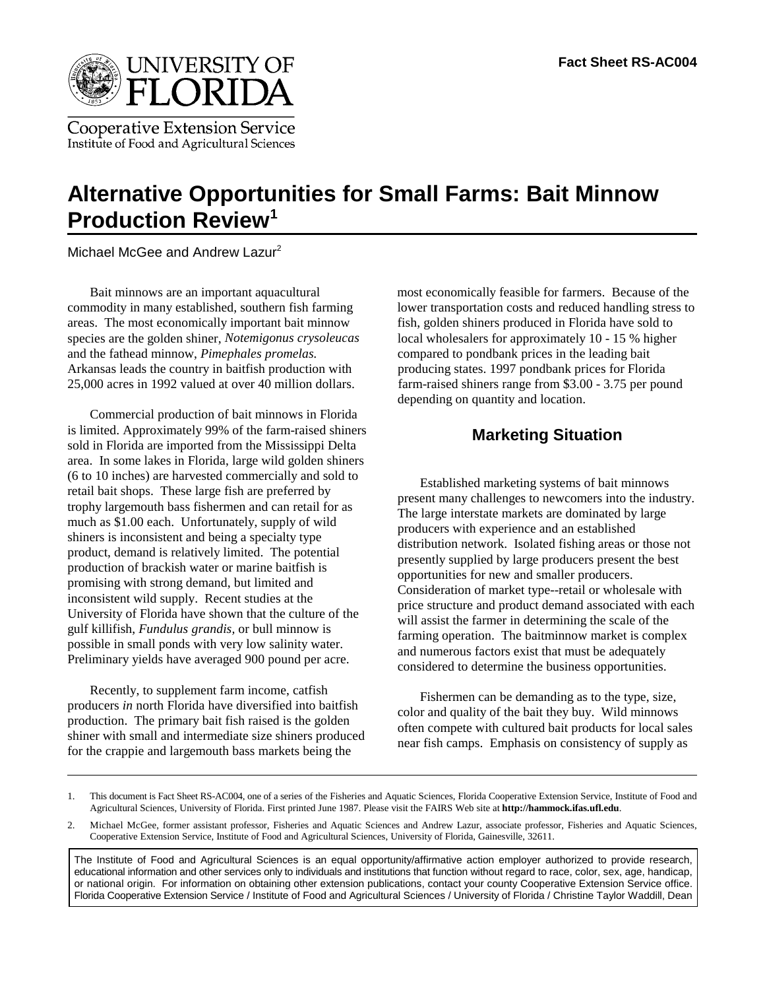

**Cooperative Extension Service** Institute of Food and Agricultural Sciences

# **Alternative Opportunities for Small Farms: Bait Minnow Production Review1**

Michael McGee and Andrew Lazur<sup>2</sup>

areas. The most economically important bait minnow fish, golden shiners produced in Florida have sold to species are the golden shiner, *Notemigonus crysoleucas* local wholesalers for approximately 10 - 15 % higher and the fathead minnow, *Pimephales promelas.* compared to pondbank prices in the leading bait Arkansas leads the country in baitfish production with producing states. 1997 pondbank prices for Florida 25,000 acres in 1992 valued at over 40 million dollars. farm-raised shiners range from \$3.00 - 3.75 per pound

Commercial production of bait minnows in Florida is limited. Approximately 99% of the farm-raised shiners sold in Florida are imported from the Mississippi Delta area. In some lakes in Florida, large wild golden shiners (6 to 10 inches) are harvested commercially and sold to retail bait shops. These large fish are preferred by trophy largemouth bass fishermen and can retail for as much as \$1.00 each. Unfortunately, supply of wild shiners is inconsistent and being a specialty type product, demand is relatively limited. The potential production of brackish water or marine baitfish is promising with strong demand, but limited and inconsistent wild supply. Recent studies at the University of Florida have shown that the culture of the gulf killifish, *Fundulus grandis,* or bull minnow is possible in small ponds with very low salinity water. Preliminary yields have averaged 900 pound per acre.

Recently, to supplement farm income, catfish producers *in* north Florida have diversified into baitfish production. The primary bait fish raised is the golden shiner with small and intermediate size shiners produced for the crappie and largemouth bass markets being the

Bait minnows are an important aquacultural most economically feasible for farmers. Because of the commodity in many established, southern fish farming lower transportation costs and reduced handling stress to depending on quantity and location.

## **Marketing Situation**

Established marketing systems of bait minnows present many challenges to newcomers into the industry. The large interstate markets are dominated by large producers with experience and an established distribution network. Isolated fishing areas or those not presently supplied by large producers present the best opportunities for new and smaller producers. Consideration of market type--retail or wholesale with price structure and product demand associated with each will assist the farmer in determining the scale of the farming operation. The baitminnow market is complex and numerous factors exist that must be adequately considered to determine the business opportunities.

Fishermen can be demanding as to the type, size, color and quality of the bait they buy. Wild minnows often compete with cultured bait products for local sales near fish camps. Emphasis on consistency of supply as

The Institute of Food and Agricultural Sciences is an equal opportunity/affirmative action employer authorized to provide research, educational information and other services only to individuals and institutions that function without regard to race, color, sex, age, handicap, or national origin. For information on obtaining other extension publications, contact your county Cooperative Extension Service office. Florida Cooperative Extension Service / Institute of Food and Agricultural Sciences / University of Florida / Christine Taylor Waddill, Dean

<sup>1.</sup> This document is Fact Sheet RS-AC004, one of a series of the Fisheries and Aquatic Sciences, Florida Cooperative Extension Service, Institute of Food and Agricultural Sciences, University of Florida. First printed June 1987. Please visit the FAIRS Web site at **http://hammock.ifas.ufl.edu**.

<sup>2.</sup> Michael McGee, former assistant professor, Fisheries and Aquatic Sciences and Andrew Lazur, associate professor, Fisheries and Aquatic Sciences, Cooperative Extension Service, Institute of Food and Agricultural Sciences, University of Florida, Gainesville, 32611.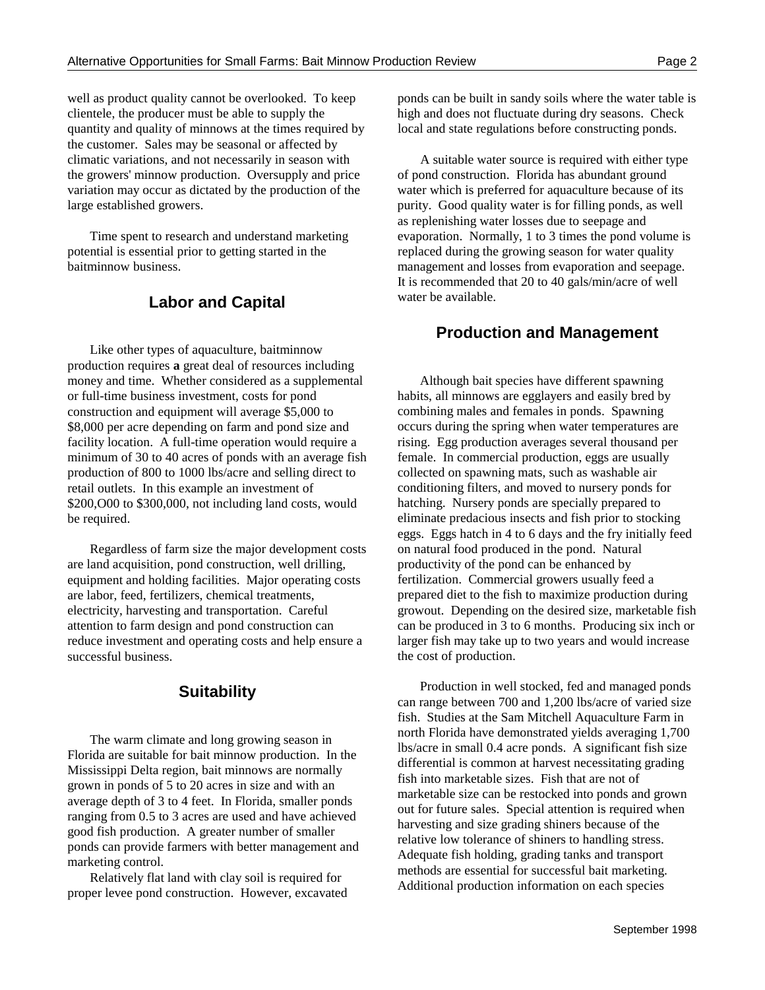well as product quality cannot be overlooked. To keep ponds can be built in sandy soils where the water table is clientele, the producer must be able to supply the high and does not fluctuate during dry seasons. Check quantity and quality of minnows at the times required by local and state regulations before constructing ponds. the customer. Sales may be seasonal or affected by climatic variations, and not necessarily in season with A suitable water source is required with either type the growers' minnow production. Oversupply and price of pond construction. Florida has abundant ground variation may occur as dictated by the production of the water which is preferred for aquaculture because of its large established growers. purity. Good quality water is for filling ponds, as well

potential is essential prior to getting started in the replaced during the growing season for water quality

## water be available. **Labor and Capital**

Like other types of aquaculture, baitminnow production requires **a** great deal of resources including money and time. Whether considered as a supplemental or full-time business investment, costs for pond construction and equipment will average \$5,000 to \$8,000 per acre depending on farm and pond size and facility location. A full-time operation would require a minimum of 30 to 40 acres of ponds with an average fish production of 800 to 1000 lbs/acre and selling direct to retail outlets. In this example an investment of \$200,O00 to \$300,000, not including land costs, would be required.

Regardless of farm size the major development costs are land acquisition, pond construction, well drilling, equipment and holding facilities. Major operating costs are labor, feed, fertilizers, chemical treatments, electricity, harvesting and transportation. Careful attention to farm design and pond construction can reduce investment and operating costs and help ensure a successful business.

#### **Suitability**

The warm climate and long growing season in Florida are suitable for bait minnow production. In the Mississippi Delta region, bait minnows are normally grown in ponds of 5 to 20 acres in size and with an average depth of 3 to 4 feet. In Florida, smaller ponds ranging from 0.5 to 3 acres are used and have achieved good fish production. A greater number of smaller ponds can provide farmers with better management and marketing control.

Relatively flat land with clay soil is required for proper levee pond construction. However, excavated

Time spent to research and understand marketing evaporation. Normally, 1 to 3 times the pond volume is baitminnow business. management and losses from evaporation and seepage. as replenishing water losses due to seepage and It is recommended that 20 to 40 gals/min/acre of well

#### **Production and Management**

Although bait species have different spawning habits, all minnows are egglayers and easily bred by combining males and females in ponds. Spawning occurs during the spring when water temperatures are rising. Egg production averages several thousand per female. In commercial production, eggs are usually collected on spawning mats, such as washable air conditioning filters, and moved to nursery ponds for hatching. Nursery ponds are specially prepared to eliminate predacious insects and fish prior to stocking eggs. Eggs hatch in 4 to 6 days and the fry initially feed on natural food produced in the pond. Natural productivity of the pond can be enhanced by fertilization. Commercial growers usually feed a prepared diet to the fish to maximize production during growout. Depending on the desired size, marketable fish can be produced in 3 to 6 months. Producing six inch or larger fish may take up to two years and would increase the cost of production.

Production in well stocked, fed and managed ponds can range between 700 and 1,200 lbs/acre of varied size fish. Studies at the Sam Mitchell Aquaculture Farm in north Florida have demonstrated yields averaging 1,700 lbs/acre in small 0.4 acre ponds. A significant fish size differential is common at harvest necessitating grading fish into marketable sizes. Fish that are not of marketable size can be restocked into ponds and grown out for future sales. Special attention is required when harvesting and size grading shiners because of the relative low tolerance of shiners to handling stress. Adequate fish holding, grading tanks and transport methods are essential for successful bait marketing. Additional production information on each species